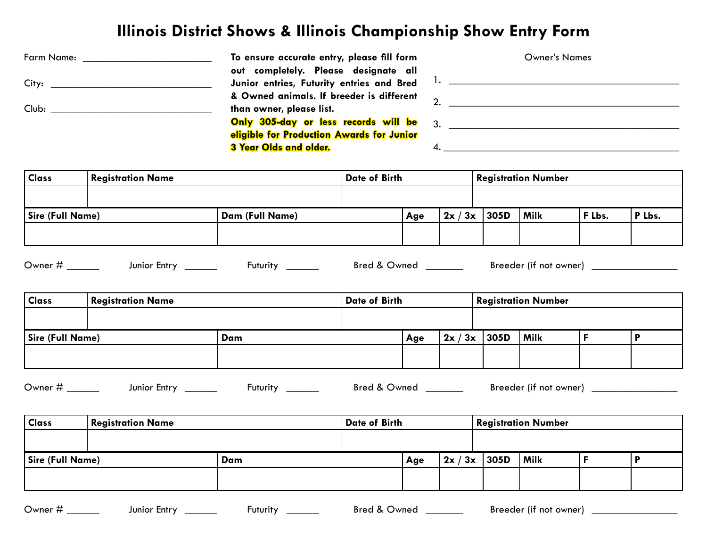## **Illinois District Shows & Illinois Championship Show Entry Form**

| Farm Name: | To ensure accurate entry, please fill form     | <b>Owner's Names</b> |
|------------|------------------------------------------------|----------------------|
|            | out completely. Please designate all           |                      |
|            | Junior entries, Futurity entries and Bred      |                      |
|            | & Owned animals. If breeder is different       |                      |
| Club:      | than owner, please list.                       |                      |
|            | <b>Only 305-day or less records will be</b> 3. |                      |
|            | eligible for Production Awards for Junior      |                      |
|            | 3 Year Olds and older.                         |                      |

| <b>Registration Name</b> |                 |       |               |             |                            |        |
|--------------------------|-----------------|-------|---------------|-------------|----------------------------|--------|
|                          |                 |       |               |             |                            |        |
| Sire (Full Name)         |                 | . Age | 2x/           | <b>Milk</b> | F Lbs.                     | P Lbs. |
|                          |                 |       |               |             |                            |        |
|                          | Dam (Full Name) |       | Date of Birth | $/3x$ 305D  | <b>Registration Number</b> |        |

| ∽<br>⊃wner ⊺ | Entry<br>lunior | `urit⊾<br>'UTU | Bred<br>)wnec | <br>Breeder<br>not<br>owner<br>uт |  |
|--------------|-----------------|----------------|---------------|-----------------------------------|--|
|--------------|-----------------|----------------|---------------|-----------------------------------|--|

| <b>Class</b>            | Registration Name |     | Date of Birth |     |              | <b>Registration Number</b> |             |  |  |
|-------------------------|-------------------|-----|---------------|-----|--------------|----------------------------|-------------|--|--|
|                         |                   |     |               |     |              |                            |             |  |  |
| <b>Sire (Full Name)</b> |                   | Dam |               | Age | $2x/3x$ 305D |                            | <b>Milk</b> |  |  |
|                         |                   |     |               |     |              |                            |             |  |  |

| ⌒<br>⊃wner ∶ | ∠ntr∨<br>Junior | --------<br>пт | 0<br>Bred<br>Jwner | Breeder<br>owner<br>no |
|--------------|-----------------|----------------|--------------------|------------------------|
|--------------|-----------------|----------------|--------------------|------------------------|

| <b>Class</b>            | <b>Registration Name</b> |     | Date of Birth |     |              | <b>Registration Number</b> |      |  |  |
|-------------------------|--------------------------|-----|---------------|-----|--------------|----------------------------|------|--|--|
|                         |                          |     |               |     |              |                            |      |  |  |
| <b>Sire (Full Name)</b> |                          | Dam |               | Age | $2x/3x$ 305D |                            | Milk |  |  |
|                         |                          |     |               |     |              |                            |      |  |  |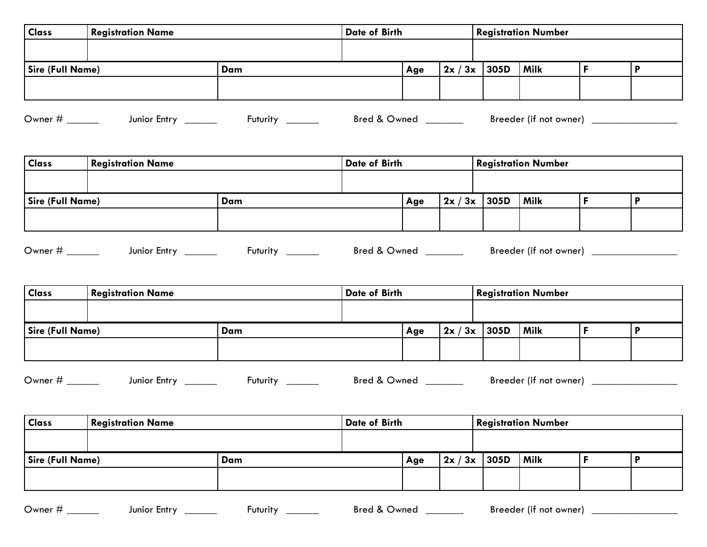| <b>Class</b>     | <b>Registration Name</b> |     | Date of Birth |     |  | <b>Registration Number</b> |      |  |  |  |
|------------------|--------------------------|-----|---------------|-----|--|----------------------------|------|--|--|--|
|                  |                          |     |               |     |  |                            |      |  |  |  |
| Sire (Full Name) |                          | Dam |               | Age |  | $2x/3x$ 305D               | Milk |  |  |  |
|                  |                          |     |               |     |  |                            |      |  |  |  |

Owner # \_\_\_\_\_\_ Junior Entry \_\_\_\_\_\_ Futurity \_\_\_\_\_\_ Bred & Owned \_\_\_\_\_\_ Breeder (if not owner) \_\_\_\_\_\_\_\_\_\_\_\_\_\_\_

| <b>Class</b>     | <b>Registration Name</b> |     | <b>Date of Birth</b> |     |  | <b>Registration Number</b> |      |  |  |
|------------------|--------------------------|-----|----------------------|-----|--|----------------------------|------|--|--|
|                  |                          |     |                      |     |  |                            |      |  |  |
| Sire (Full Name) |                          | Dam |                      | Age |  | $2x/3x$ 305D               | Milk |  |  |
|                  |                          |     |                      |     |  |                            |      |  |  |

| -<br>Owner | <b>Entry</b><br>lunioi | -uturity | Bred<br>. Jwnori<br>.<br>$\cdots$ | <br><b>Breeder</b><br>owner)<br>not |  |
|------------|------------------------|----------|-----------------------------------|-------------------------------------|--|
|------------|------------------------|----------|-----------------------------------|-------------------------------------|--|

| <b>Class</b>            | <b>Registration Name</b> |     | Date of Birth |     |              | <b>Registration Number</b> |             |  |  |
|-------------------------|--------------------------|-----|---------------|-----|--------------|----------------------------|-------------|--|--|
|                         |                          |     |               |     |              |                            |             |  |  |
| <b>Sire (Full Name)</b> |                          | Dam |               | Age | $2x/3x$ 305D |                            | <b>Milk</b> |  |  |
|                         |                          |     |               |     |              |                            |             |  |  |

Owner # \_\_\_\_\_\_ Junior Entry \_\_\_\_\_\_ Futurity \_\_\_\_\_\_ Bred & Owned \_\_\_\_\_\_ Breeder (if not owner) \_\_\_\_\_\_\_\_\_\_\_\_\_\_\_\_

| <b>Class</b>            | <b>Registration Name</b> |     | Date of Birth |     |                | <b>Registration Number</b> |      |  |  |
|-------------------------|--------------------------|-----|---------------|-----|----------------|----------------------------|------|--|--|
|                         |                          |     |               |     |                |                            |      |  |  |
| <b>Sire (Full Name)</b> |                          | Dam |               | Age | $2x / 3x$ 305D |                            | Milk |  |  |
|                         |                          |     |               |     |                |                            |      |  |  |